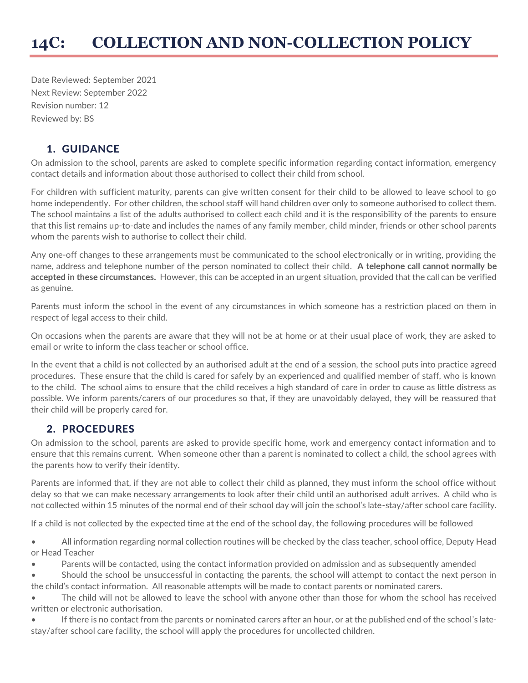Date Reviewed: September 2021 Next Review: September 2022 Revision number: 12 Reviewed by: BS

## 1. GUIDANCE

On admission to the school, parents are asked to complete specific information regarding contact information, emergency contact details and information about those authorised to collect their child from school.

For children with sufficient maturity, parents can give written consent for their child to be allowed to leave school to go home independently. For other children, the school staff will hand children over only to someone authorised to collect them. The school maintains a list of the adults authorised to collect each child and it is the responsibility of the parents to ensure that this list remains up-to-date and includes the names of any family member, child minder, friends or other school parents whom the parents wish to authorise to collect their child.

Any one-off changes to these arrangements must be communicated to the school electronically or in writing, providing the name, address and telephone number of the person nominated to collect their child. **A telephone call cannot normally be accepted in these circumstances.** However, this can be accepted in an urgent situation, provided that the call can be verified as genuine.

Parents must inform the school in the event of any circumstances in which someone has a restriction placed on them in respect of legal access to their child.

On occasions when the parents are aware that they will not be at home or at their usual place of work, they are asked to email or write to inform the class teacher or school office.

In the event that a child is not collected by an authorised adult at the end of a session, the school puts into practice agreed procedures. These ensure that the child is cared for safely by an experienced and qualified member of staff, who is known to the child. The school aims to ensure that the child receives a high standard of care in order to cause as little distress as possible. We inform parents/carers of our procedures so that, if they are unavoidably delayed, they will be reassured that their child will be properly cared for.

## 2. PROCEDURES

On admission to the school, parents are asked to provide specific home, work and emergency contact information and to ensure that this remains current. When someone other than a parent is nominated to collect a child, the school agrees with the parents how to verify their identity.

Parents are informed that, if they are not able to collect their child as planned, they must inform the school office without delay so that we can make necessary arrangements to look after their child until an authorised adult arrives. A child who is not collected within 15 minutes of the normal end of their school day will join the school's late-stay/after school care facility.

If a child is not collected by the expected time at the end of the school day, the following procedures will be followed

• All information regarding normal collection routines will be checked by the class teacher, school office, Deputy Head or Head Teacher

- Parents will be contacted, using the contact information provided on admission and as subsequently amended
- Should the school be unsuccessful in contacting the parents, the school will attempt to contact the next person in the child's contact information. All reasonable attempts will be made to contact parents or nominated carers.

• The child will not be allowed to leave the school with anyone other than those for whom the school has received written or electronic authorisation.

If there is no contact from the parents or nominated carers after an hour, or at the published end of the school's latestay/after school care facility, the school will apply the procedures for uncollected children.